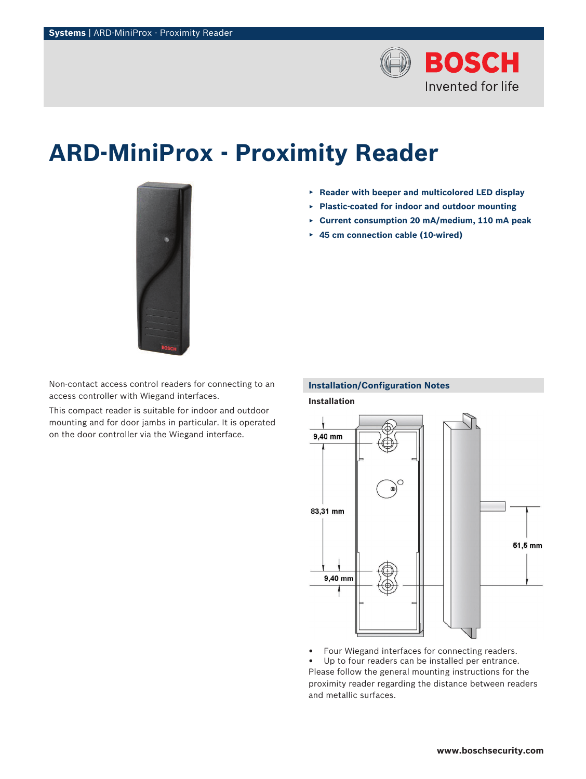

# **ARD-MiniProx - Proximity Reader**



- ▶ **Reader with beeper and multicolored LED display**
- ▶ **Plastic-coated for indoor and outdoor mounting**
- ▶ **Current consumption 20 mA/medium, 110 mA peak**
- ▶ **45 cm connection cable (10-wired)**

Non-contact access control readers for connecting to an access controller with Wiegand interfaces.

This compact reader is suitable for indoor and outdoor mounting and for door jambs in particular. It is operated on the door controller via the Wiegand interface.

### **Installation/Configuration Notes**

**Installation** 9,40 mm  $\cap$ Œ 83,31 mm 51,5 mm 9,40 mm

• Four Wiegand interfaces for connecting readers.

Up to four readers can be installed per entrance. Please follow the general mounting instructions for the proximity reader regarding the distance between readers and metallic surfaces.